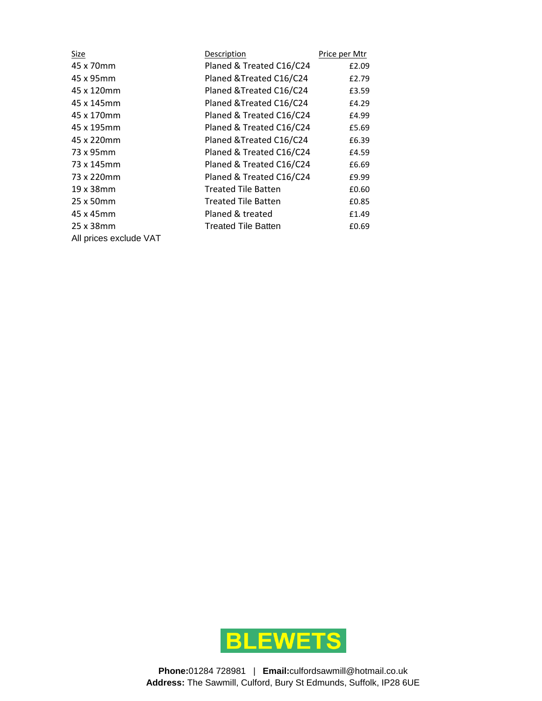| <u>Size</u>            | Description                | Price per Mtr |
|------------------------|----------------------------|---------------|
| 45 x 70mm              | Planed & Treated C16/C24   | £2.09         |
| 45 x 95mm              | Planed & Treated C16/C24   | £2.79         |
| 45 x 120mm             | Planed & Treated C16/C24   | £3.59         |
| 45 x 145mm             | Planed & Treated C16/C24   | £4.29         |
| 45 x 170mm             | Planed & Treated C16/C24   | £4.99         |
| 45 x 195mm             | Planed & Treated C16/C24   | £5.69         |
| 45 x 220mm             | Planed & Treated C16/C24   | £6.39         |
| 73 x 95mm              | Planed & Treated C16/C24   | £4.59         |
| 73 x 145mm             | Planed & Treated C16/C24   | £6.69         |
| 73 x 220mm             | Planed & Treated C16/C24   | £9.99         |
| 19 x 38mm              | <b>Treated Tile Batten</b> | £0.60         |
| 25 x 50mm              | <b>Treated Tile Batten</b> | £0.85         |
| 45 x 45mm              | Planed & treated           | £1.49         |
| 25 x 38mm              | <b>Treated Tile Batten</b> | £0.69         |
| All prices exclude VAT |                            |               |

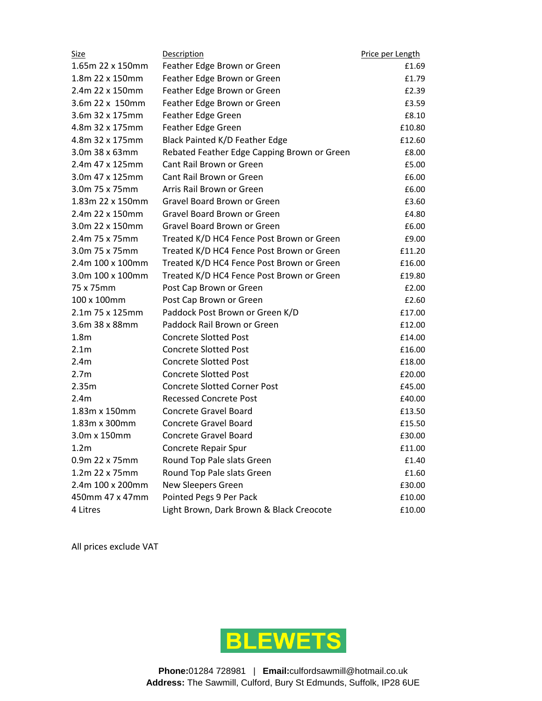| <u>Size</u>      | Description                                 | Price per Length |
|------------------|---------------------------------------------|------------------|
| 1.65m 22 x 150mm | Feather Edge Brown or Green                 | £1.69            |
| 1.8m 22 x 150mm  | Feather Edge Brown or Green                 | £1.79            |
| 2.4m 22 x 150mm  | Feather Edge Brown or Green                 | £2.39            |
| 3.6m 22 x 150mm  | Feather Edge Brown or Green                 | £3.59            |
| 3.6m 32 x 175mm  | Feather Edge Green                          | £8.10            |
| 4.8m 32 x 175mm  | Feather Edge Green                          | £10.80           |
| 4.8m 32 x 175mm  | Black Painted K/D Feather Edge              | £12.60           |
| 3.0m 38 x 63mm   | Rebated Feather Edge Capping Brown or Green | £8.00            |
| 2.4m 47 x 125mm  | Cant Rail Brown or Green                    | £5.00            |
| 3.0m 47 x 125mm  | Cant Rail Brown or Green                    | £6.00            |
| 3.0m 75 x 75mm   | Arris Rail Brown or Green                   | £6.00            |
| 1.83m 22 x 150mm | Gravel Board Brown or Green                 | £3.60            |
| 2.4m 22 x 150mm  | Gravel Board Brown or Green                 | £4.80            |
| 3.0m 22 x 150mm  | Gravel Board Brown or Green                 | £6.00            |
| 2.4m 75 x 75mm   | Treated K/D HC4 Fence Post Brown or Green   | £9.00            |
| 3.0m 75 x 75mm   | Treated K/D HC4 Fence Post Brown or Green   | £11.20           |
| 2.4m 100 x 100mm | Treated K/D HC4 Fence Post Brown or Green   | £16.00           |
| 3.0m 100 x 100mm | Treated K/D HC4 Fence Post Brown or Green   | £19.80           |
| 75 x 75mm        | Post Cap Brown or Green                     | £2.00            |
| 100 x 100mm      | Post Cap Brown or Green                     | £2.60            |
| 2.1m 75 x 125mm  | Paddock Post Brown or Green K/D             | £17.00           |
| 3.6m 38 x 88mm   | Paddock Rail Brown or Green                 | £12.00           |
| 1.8 <sub>m</sub> | <b>Concrete Slotted Post</b>                | £14.00           |
| 2.1 <sub>m</sub> | <b>Concrete Slotted Post</b>                | £16.00           |
| 2.4m             | <b>Concrete Slotted Post</b>                | £18.00           |
| 2.7 <sub>m</sub> | <b>Concrete Slotted Post</b>                | £20.00           |
| 2.35m            | <b>Concrete Slotted Corner Post</b>         | £45.00           |
| 2.4 <sub>m</sub> | <b>Recessed Concrete Post</b>               | £40.00           |
| 1.83m x 150mm    | <b>Concrete Gravel Board</b>                | £13.50           |
| 1.83m x 300mm    | <b>Concrete Gravel Board</b>                | £15.50           |
| 3.0m x 150mm     | <b>Concrete Gravel Board</b>                | £30.00           |
| 1.2m             | Concrete Repair Spur                        | £11.00           |
| 0.9m 22 x 75mm   | Round Top Pale slats Green                  | £1.40            |
| 1.2m 22 x 75mm   | Round Top Pale slats Green                  | £1.60            |
| 2.4m 100 x 200mm | New Sleepers Green                          | £30.00           |
| 450mm 47 x 47mm  | Pointed Pegs 9 Per Pack                     | £10.00           |
| 4 Litres         | Light Brown, Dark Brown & Black Creocote    | £10.00           |

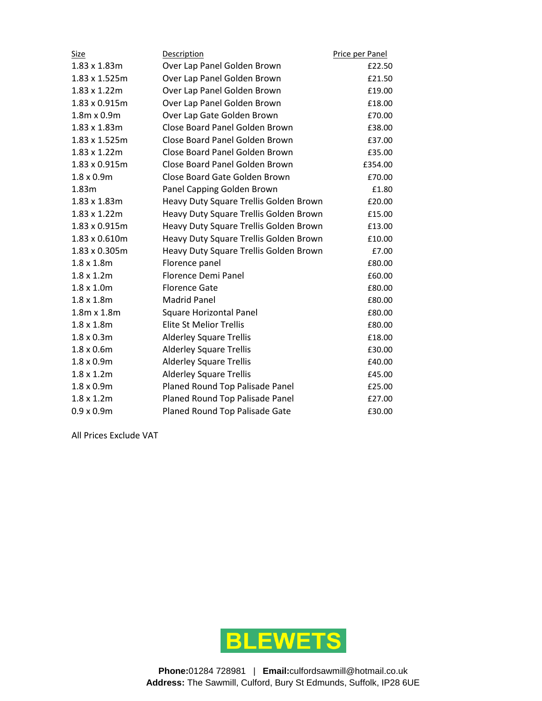| <b>Size</b>          | <b>Description</b>                     | Price per Panel |
|----------------------|----------------------------------------|-----------------|
| 1.83 x 1.83m         | Over Lap Panel Golden Brown            | £22.50          |
| 1.83 x 1.525m        | Over Lap Panel Golden Brown            | £21.50          |
| 1.83 x 1.22m         | Over Lap Panel Golden Brown            | £19.00          |
| 1.83 x 0.915m        | Over Lap Panel Golden Brown            | £18.00          |
| 1.8m x 0.9m          | Over Lap Gate Golden Brown             | £70.00          |
| 1.83 x 1.83m         | Close Board Panel Golden Brown         | £38.00          |
| 1.83 x 1.525m        | Close Board Panel Golden Brown         | £37.00          |
| $1.83 \times 1.22$ m | Close Board Panel Golden Brown         | £35.00          |
| 1.83 x 0.915m        | Close Board Panel Golden Brown         | £354.00         |
| $1.8 \times 0.9m$    | Close Board Gate Golden Brown          | £70.00          |
| 1.83m                | Panel Capping Golden Brown             | £1.80           |
| $1.83 \times 1.83$ m | Heavy Duty Square Trellis Golden Brown | £20.00          |
| $1.83 \times 1.22$ m | Heavy Duty Square Trellis Golden Brown | £15.00          |
| 1.83 x 0.915m        | Heavy Duty Square Trellis Golden Brown | £13.00          |
| 1.83 x 0.610m        | Heavy Duty Square Trellis Golden Brown | £10.00          |
| 1.83 x 0.305m        | Heavy Duty Square Trellis Golden Brown | £7.00           |
| $1.8 \times 1.8$ m   | Florence panel                         | £80.00          |
| $1.8 \times 1.2$ m   | Florence Demi Panel                    | £60.00          |
| $1.8 \times 1.0$ m   | <b>Florence Gate</b>                   | £80.00          |
| $1.8 \times 1.8$ m   | <b>Madrid Panel</b>                    | £80.00          |
| $1.8m \times 1.8m$   | <b>Square Horizontal Panel</b>         | £80.00          |
| $1.8 \times 1.8$ m   | <b>Elite St Melior Trellis</b>         | £80.00          |
| $1.8 \times 0.3$ m   | <b>Alderley Square Trellis</b>         | £18.00          |
| $1.8 \times 0.6$ m   | <b>Alderley Square Trellis</b>         | £30.00          |
| $1.8 \times 0.9m$    | <b>Alderley Square Trellis</b>         | £40.00          |
| $1.8 \times 1.2$ m   | <b>Alderley Square Trellis</b>         | £45.00          |
| $1.8 \times 0.9m$    | Planed Round Top Palisade Panel        | £25.00          |
| $1.8 \times 1.2$ m   | Planed Round Top Palisade Panel        | £27.00          |
| $0.9 \times 0.9$ m   | Planed Round Top Palisade Gate         | £30.00          |

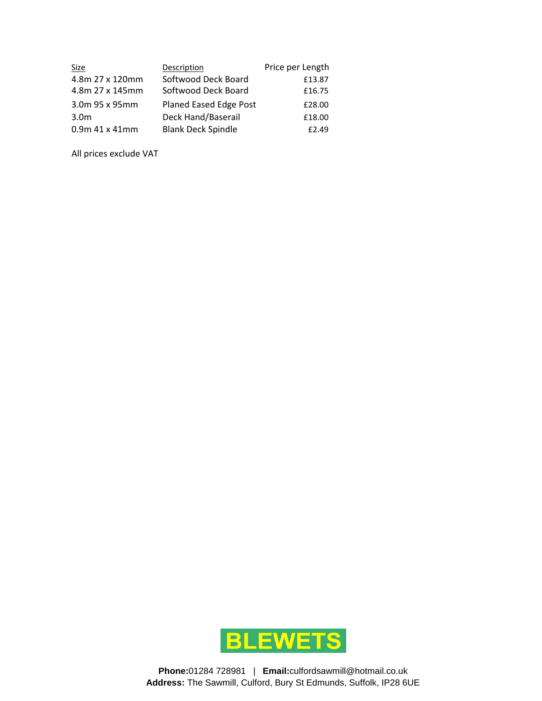| Size             | Description               | Price per Length |
|------------------|---------------------------|------------------|
| 4.8m 27 x 120mm  | Softwood Deck Board       | £13.87           |
| 4.8m 27 x 145mm  | Softwood Deck Board       | £16.75           |
| 3.0m 95 x 95mm   | Planed Eased Edge Post    | £28.00           |
| 3.0 <sub>m</sub> | Deck Hand/Baserail        | £18.00           |
| $0.9m$ 41 x 41mm | <b>Blank Deck Spindle</b> | £2.49            |

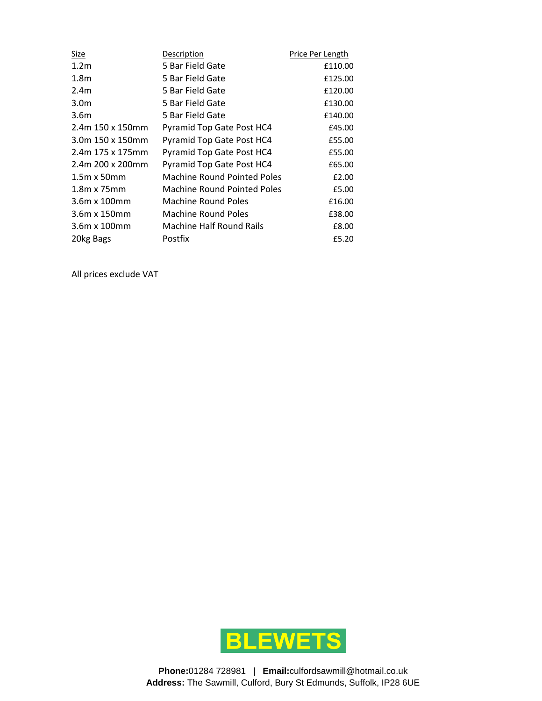| <u>Size</u>         | <b>Description</b>                 | Price Per Length |
|---------------------|------------------------------------|------------------|
| 1.2 <sub>m</sub>    | 5 Bar Field Gate                   | £110.00          |
| 1.8 <sub>m</sub>    | 5 Bar Field Gate                   | £125.00          |
| 2.4 <sub>m</sub>    | 5 Bar Field Gate                   | £120.00          |
| 3.0 <sub>m</sub>    | 5 Bar Field Gate                   | £130.00          |
| 3.6 <sub>m</sub>    | 5 Bar Field Gate                   | £140.00          |
| 2.4m 150 x 150mm    | Pyramid Top Gate Post HC4          | £45.00           |
| 3.0m 150 x 150mm    | Pyramid Top Gate Post HC4          | £55.00           |
| 2.4m 175 x 175mm    | Pyramid Top Gate Post HC4          | £55.00           |
| 2.4m 200 x 200mm    | Pyramid Top Gate Post HC4          | £65.00           |
| $1.5m \times 50mm$  | <b>Machine Round Pointed Poles</b> | £2.00            |
| $1.8m \times 75mm$  | <b>Machine Round Pointed Poles</b> | £5.00            |
| 3.6m x 100mm        | Machine Round Poles                | £16.00           |
| $3.6m \times 150mm$ | Machine Round Poles                | £38.00           |
| $3.6m \times 100mm$ | <b>Machine Half Round Rails</b>    | £8.00            |
| 20kg Bags           | Postfix                            | £5.20            |

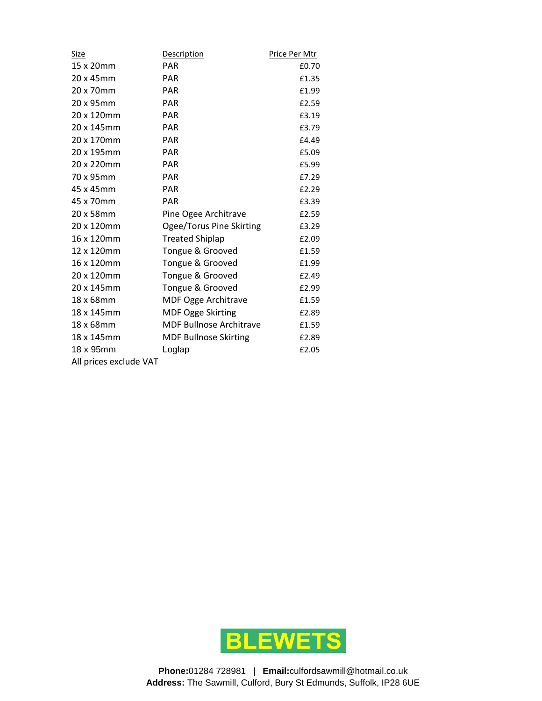| Size                   | Description                    | Price Per Mtr |
|------------------------|--------------------------------|---------------|
| 15 x 20mm              | <b>PAR</b>                     | £0.70         |
| 20 x 45mm              | <b>PAR</b>                     | £1.35         |
| 20 x 70mm              | <b>PAR</b>                     | £1.99         |
| 20 x 95mm              | <b>PAR</b>                     | £2.59         |
| 20 x 120mm             | <b>PAR</b>                     | £3.19         |
| 20 x 145mm             | <b>PAR</b>                     | £3.79         |
| 20 x 170mm             | <b>PAR</b>                     | £4.49         |
| 20 x 195mm             | <b>PAR</b>                     | £5.09         |
| 20 x 220mm             | <b>PAR</b>                     | £5.99         |
| 70 x 95mm              | <b>PAR</b>                     | £7.29         |
| 45 x 45mm              | <b>PAR</b>                     | £2.29         |
| 45 x 70mm              | <b>PAR</b>                     | £3.39         |
| 20 x 58mm              | Pine Ogee Architrave           | £2.59         |
| 20 x 120mm             | Ogee/Torus Pine Skirting       | £3.29         |
| 16 x 120mm             | <b>Treated Shiplap</b>         | £2.09         |
| 12 x 120mm             | Tongue & Grooved               | £1.59         |
| 16 x 120mm             | Tongue & Grooved               | £1.99         |
| 20 x 120mm             | Tongue & Grooved               | £2.49         |
| 20 x 145mm             | Tongue & Grooved               | £2.99         |
| 18 x 68mm              | <b>MDF Ogge Architrave</b>     | £1.59         |
| 18 x 145mm             | <b>MDF Ogge Skirting</b>       | £2.89         |
| 18 x 68mm              | <b>MDF Bullnose Architrave</b> | £1.59         |
| 18 x 145mm             | <b>MDF Bullnose Skirting</b>   | £2.89         |
| 18 x 95mm              | Loglap                         | £2.05         |
| All prices exclude VAT |                                |               |

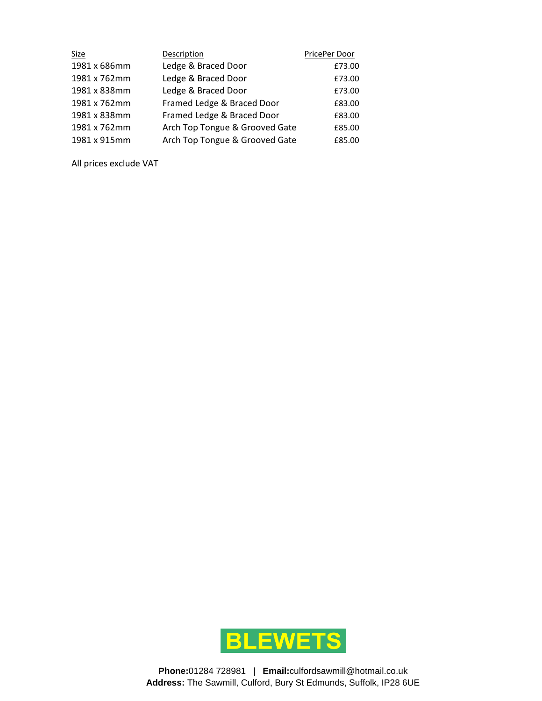| Size         | Description                    | PricePer Door |
|--------------|--------------------------------|---------------|
| 1981 x 686mm | Ledge & Braced Door            | £73.00        |
| 1981 x 762mm | Ledge & Braced Door            | £73.00        |
| 1981 x 838mm | Ledge & Braced Door            | £73.00        |
| 1981 x 762mm | Framed Ledge & Braced Door     | £83.00        |
| 1981 x 838mm | Framed Ledge & Braced Door     | £83.00        |
| 1981 x 762mm | Arch Top Tongue & Grooved Gate | £85.00        |
| 1981 x 915mm | Arch Top Tongue & Grooved Gate | £85.00        |

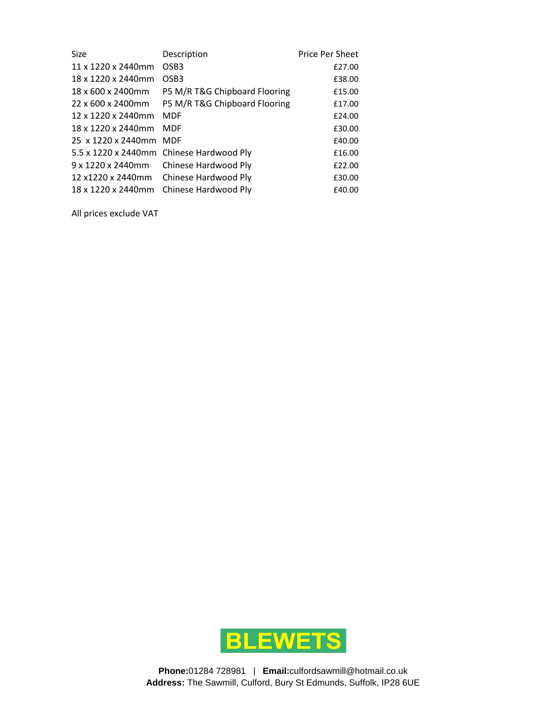| Size               | Description                              | <b>Price Per Sheet</b> |
|--------------------|------------------------------------------|------------------------|
| 11 x 1220 x 2440mm | OSB <sub>3</sub>                         | £27.00                 |
| 18 x 1220 x 2440mm | OSB <sub>3</sub>                         | £38.00                 |
| 18 x 600 x 2400mm  | P5 M/R T&G Chipboard Flooring            | £15.00                 |
| 22 x 600 x 2400mm  | P5 M/R T&G Chipboard Flooring            | £17.00                 |
| 12 x 1220 x 2440mm | <b>MDF</b>                               | £24.00                 |
| 18 x 1220 x 2440mm | <b>MDF</b>                               | £30.00                 |
| 25 x 1220 x 2440mm | <b>MDF</b>                               | £40.00                 |
|                    | 5.5 x 1220 x 2440mm Chinese Hardwood Ply | £16.00                 |
| 9 x 1220 x 2440mm  | Chinese Hardwood Ply                     | £22.00                 |
| 12 x1220 x 2440mm  | Chinese Hardwood Ply                     | £30.00                 |
| 18 x 1220 x 2440mm | Chinese Hardwood Ply                     | £40.00                 |

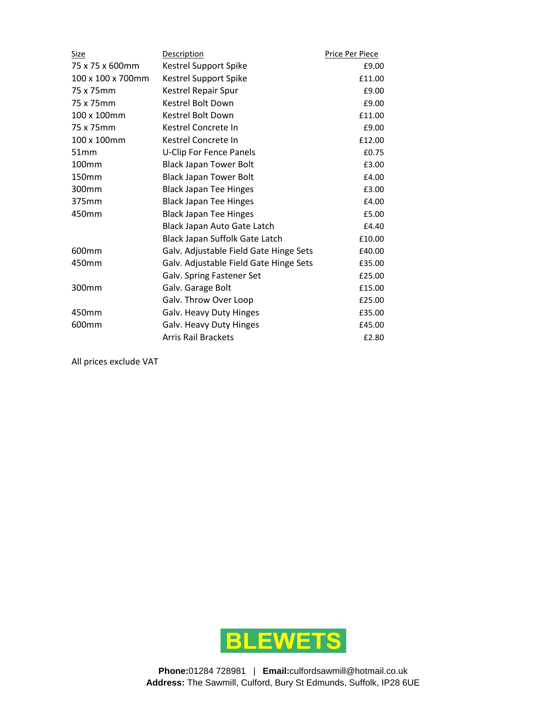| Size              | Description                            | Price Per Piece |
|-------------------|----------------------------------------|-----------------|
| 75 x 75 x 600mm   | Kestrel Support Spike                  | £9.00           |
| 100 x 100 x 700mm | Kestrel Support Spike                  | £11.00          |
| 75 x 75mm         | Kestrel Repair Spur                    | £9.00           |
| 75 x 75mm         | Kestrel Bolt Down                      | £9.00           |
| 100 x 100mm       | Kestrel Bolt Down                      | £11.00          |
| 75 x 75mm         | Kestrel Concrete In                    | £9.00           |
| 100 x 100mm       | Kestrel Concrete In                    | £12.00          |
| 51mm              | <b>U-Clip For Fence Panels</b>         | £0.75           |
| 100 <sub>mm</sub> | <b>Black Japan Tower Bolt</b>          | £3.00           |
| 150mm             | <b>Black Japan Tower Bolt</b>          | £4.00           |
| 300mm             | <b>Black Japan Tee Hinges</b>          | £3.00           |
| 375mm             | <b>Black Japan Tee Hinges</b>          | £4.00           |
| 450mm             | <b>Black Japan Tee Hinges</b>          | £5.00           |
|                   | Black Japan Auto Gate Latch            | £4.40           |
|                   | Black Japan Suffolk Gate Latch         | £10.00          |
| 600 <sub>mm</sub> | Galv. Adjustable Field Gate Hinge Sets | £40.00          |
| 450mm             | Galv. Adjustable Field Gate Hinge Sets | £35.00          |
|                   | Galv. Spring Fastener Set              | £25.00          |
| 300 <sub>mm</sub> | Galv. Garage Bolt                      | £15.00          |
|                   | Galv. Throw Over Loop                  | £25.00          |
| 450mm             | Galv. Heavy Duty Hinges                | £35.00          |
| 600mm             | Galv. Heavy Duty Hinges                | £45.00          |
|                   | <b>Arris Rail Brackets</b>             | £2.80           |